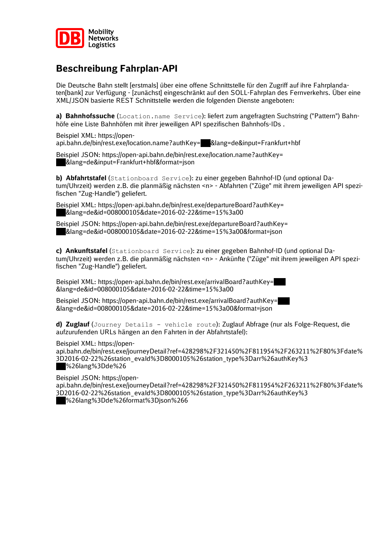

# **Beschreibung Fahrplan-API**

Die Deutsche Bahn stellt [erstmals] über eine offene Schnittstelle für den Zugriff auf ihre Fahrplandaten[bank] zur Verfügung - [zunächst] eingeschränkt auf den SOLL-Fahrplan des Fernverkehrs. Über eine XML/JSON basierte REST Schnittstelle werden die folgenden Dienste angeboten:

**a) Bahnhofssuche** (Location.name Service): liefert zum angefragten Suchstring ("Pattern") Bahnhöfe eine Liste Bahnhöfen mit ihrer jeweiligen API spezifischen Bahnhofs-IDs .

Beispiel XML: https://openapi.bahn.de/bin/rest.exe/location.name?authKey=<br>xxlang=de&input=Frankfurt+hbf

Beispiel JSON: https://open-api.bahn.de/bin/rest.exe/location.name?authKey= &lang=de&input=Frankfurt+hbf&format=json

**b) Abfahrtstafel** (Stationboard Service): zu einer gegeben Bahnhof-ID (und optional Datum/Uhrzeit) werden z.B. die planmäßig nächsten <n> - Abfahrten ("Züge" mit ihrem jeweiligen API spezifischen "Zug-Handle") geliefert.

Beispiel XML: https://open-api.bahn.de/bin/rest.exe/departureBoard?authKey= xxx&lang=de&id=008000105&date=2016-02-22&time=15%3a00

Beispiel JSON: https://open-api.bahn.de/bin/rest.exe/departureBoard?authKey= xxx&lang=de&id=008000105&date=2016-02-22&time=15%3a00&format=json

**c) Ankunftstafel** (Stationboard Service): zu einer gegeben Bahnhof-ID (und optional Datum/Uhrzeit) werden z.B. die planmäßig nächsten <n> - Ankünfte ("Züge" mit ihrem jeweiligen API spezifischen "Zug-Handle") geliefert.

Beispiel XML: https://open-api.bahn.de/bin/rest.exe/arrivalBoard?authKey= &lang=de&id=008000105&date=2016-02-22&time=15%3a00

Beispiel JSON: https://open-api.bahn.de/bin/rest.exe/arrivalBoard?authKey= &lang=de&id=008000105&date=2016-02-22&time=15%3a00&format=json

**d) Zuglauf** (Journey Details - vehicle route): Zuglauf Abfrage (nur als Folge-Request, die aufzurufenden URLs hängen an den Fahrten in der Abfahrtstafel):

Beispiel XML: https://open-

api.bahn.de/bin/rest.exe/journeyDetail?ref=428298%2F321450%2F811954%2F263211%2F80%3Fdate% 3D2016-02-22%26station\_evaId%3D8000105%26station\_type%3Darr%26authKey%3 %26lang%3Dde%26

Beispiel JSON: https://open-

api.bahn.de/bin/rest.exe/journeyDetail?ref=428298%2F321450%2F811954%2F263211%2F80%3Fdate% 3D2016-02-22%26station\_evaId%3D8000105%26station\_type%3Darr%26authKey%3

%26lang%3Dde%26format%3Djson%266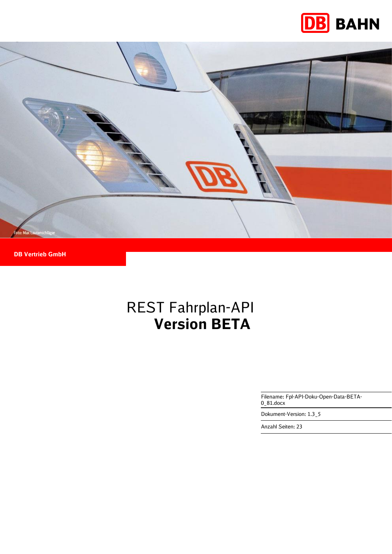



**DB Vertrieb GmbH**

# REST Fahrplan-API **Version BETA**

Filename: Fpl-API-Doku-Open-Data-BETA-0\_81.docx

Dokument-Version: 1.3\_5

Anzahl Seiten: 23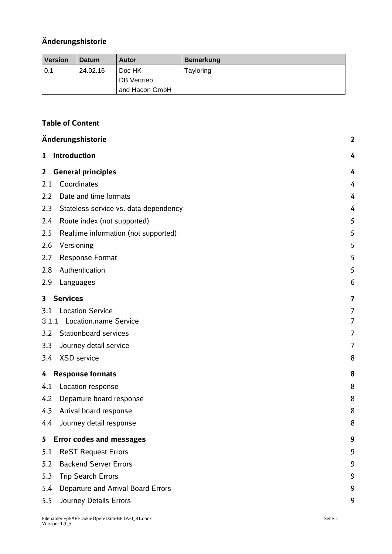# <span id="page-2-0"></span>**Änderungshistorie**

| <b>Version</b> | <b>Datum</b> | <b>Autor</b>   | <b>Bemerkung</b> |
|----------------|--------------|----------------|------------------|
| $\vert 0.1$    | 24.02.16     | Doc HK         | Tayloring        |
|                |              | DB Vertrieb    |                  |
|                |              | and Hacon GmbH |                  |

# **Table of Content**

|                         | Änderungshistorie<br>2                |   |  |
|-------------------------|---------------------------------------|---|--|
| $\mathbf{1}$            | <b>Introduction</b>                   | 4 |  |
| $\overline{2}$          | <b>General principles</b>             | 4 |  |
| 2.1                     | Coordinates                           | 4 |  |
| 2.2                     | Date and time formats                 | 4 |  |
| 2.3                     | Stateless service vs. data dependency | 4 |  |
| 2.4                     | Route index (not supported)           | 5 |  |
| 2.5                     | Realtime information (not supported)  | 5 |  |
| 2.6                     | Versioning                            | 5 |  |
| 2.7                     | <b>Response Format</b>                | 5 |  |
| 2.8                     | Authentication                        | 5 |  |
| 2.9                     | Languages                             | 6 |  |
| $\overline{\mathbf{3}}$ | <b>Services</b>                       | 7 |  |
| 3.1                     | <b>Location Service</b>               | 7 |  |
|                         | Location.name Service<br>3.1.1        | 7 |  |
| 3.2                     | <b>Stationboard services</b>          | 7 |  |
| 3.3                     | Journey detail service                | 7 |  |
| 3.4                     | <b>XSD</b> service                    | 8 |  |
| 4                       | <b>Response formats</b>               | 8 |  |
| 4.1                     | Location response                     | 8 |  |
| 4.2                     | Departure board response              | 8 |  |
| 4.3                     | Arrival board response                | 8 |  |
| 4.4                     | Journey detail response               | 8 |  |
| 5                       | <b>Error codes and messages</b>       | 9 |  |
| 5.1                     | <b>ReST Request Errors</b>            | 9 |  |
| 5.2                     | <b>Backend Server Errors</b>          | 9 |  |
| 5.3                     | <b>Trip Search Errors</b>             | 9 |  |
| 5.4                     | Departure and Arrival Board Errors    | 9 |  |
| 5.5                     | Journey Details Errors                | 9 |  |
|                         |                                       |   |  |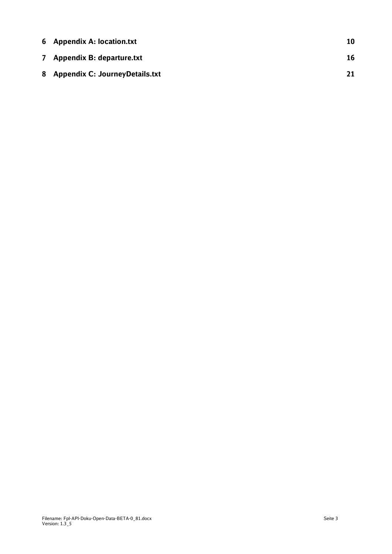| 6 Appendix A: location.txt        | 10 |
|-----------------------------------|----|
| 7 Appendix B: departure.txt       | 16 |
| 8 Appendix C: Journey Details.txt | 21 |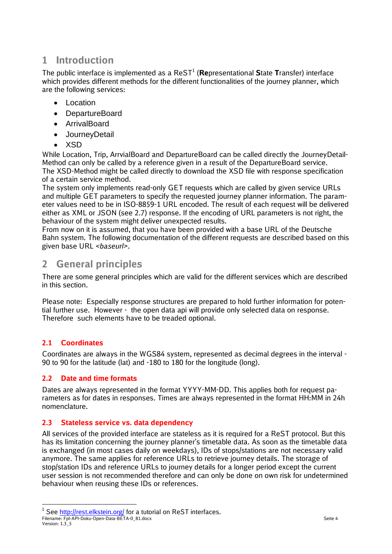# <span id="page-4-0"></span>**1 Introduction**

The public interface is implemented as a ReST<sup>1</sup> (**Re**presentational **S**tate **T**ransfer) interface which provides different methods for the different functionalities of the journey planner, which are the following services:

- Location
- DepartureBoard
- ArrivalBoard
- JourneyDetail
- $\bullet$  XSD

While Location, Trip, ArrvialBoard and DepartureBoard can be called directly the JourneyDetail-Method can only be called by a reference given in a result of the DepartureBoard service. The XSD-Method might be called directly to download the XSD file with response specification of a certain service method.

The system only implements read-only GET requests which are called by given service URLs and multiple GET parameters to specify the requested journey planner information. The parameter values need to be in ISO-8859-1 URL encoded. The result of each request will be delivered either as XML or JSON (see [2.7\)](#page-5-3) response. If the encoding of URL parameters is not right, the behaviour of the system might deliver unexpected results.

From now on it is assumed, that you have been provided with a base URL of the Deutsche Bahn system. The following documentation of the different requests are described based on this given base URL *<baseurl>*.

# <span id="page-4-1"></span>**2 General principles**

There are some general principles which are valid for the different services which are described in this section.

Please note: Especially response structures are prepared to hold further information for potential further use. However - the open data api will provide only selected data on response. Therefore such elements have to be treaded optional.

# <span id="page-4-2"></span>**2.1 Coordinates**

Coordinates are always in the WGS84 system, represented as decimal degrees in the interval - 90 to 90 for the latitude (lat) and -180 to 180 for the longitude (long).

### <span id="page-4-3"></span>**2.2 Date and time formats**

Dates are always represented in the format YYYY-MM-DD. This applies both for request parameters as for dates in responses. Times are always represented in the format HH:MM in 24h nomenclature.

# <span id="page-4-4"></span>**2.3 Stateless service vs. data dependency**

All services of the provided interface are stateless as it is required for a ReST protocol. But this has its limitation concerning the journey planner's timetable data. As soon as the timetable data is exchanged (in most cases daily on weekdays), IDs of stops/stations are not necessary valid anymore. The same applies for reference URLs to retrieve journey details. The storage of stop/station IDs and reference URLs to journey details for a longer period except the current user session is not recommended therefore and can only be done on own risk for undetermined behaviour when reusing these IDs or references.

Filename: Fpl-API-Doku-Open-Data-BETA-0\_81.docx Seite 4 1 See<http://rest.elkstein.org/> for a tutorial on ReST interfaces.

Version: 1.3\_5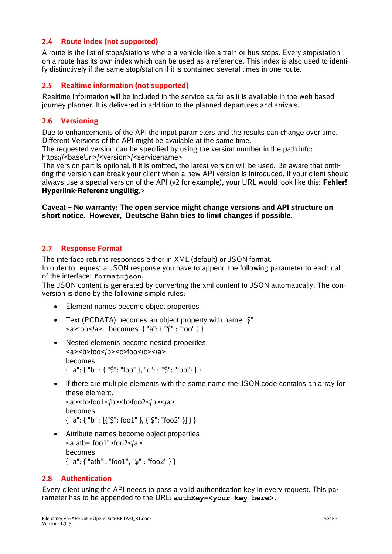### <span id="page-5-0"></span>**2.4 Route index (not supported)**

A route is the list of stops/stations where a vehicle like a train or bus stops. Every stop/station on a route has its own index which can be used as a reference. This index is also used to identify distinctively if the same stop/station if it is contained several times in one route.

### <span id="page-5-1"></span>**2.5 Realtime information (not supported)**

Realtime information will be included in the service as far as it is available in the web based journey planner. It is delivered in addition to the planned departures and arrivals.

### <span id="page-5-2"></span>**2.6 Versioning**

Due to enhancements of the API the input parameters and the results can change over time. Different Versions of the API might be available at the same time.

The requested version can be specified by using the version number in the path info: https://<br/>baseUrl>/<version>/<servicename>

The version part is optional, if it is omitted, the latest version will be used. Be aware that omitting the version can break your client when a new API version is introduced. If your client should always use a special version of the API (v2 for example), your URL would look like this: **Fehler! Hyperlink-Referenz ungültig.**>

#### **Caveat – No warranty: The open service might change versions and API structure on short notice. However, Deutsche Bahn tries to limit changes if possible.**

### <span id="page-5-3"></span>**2.7 Response Format**

The interface returns responses either in XML (default) or JSON format.

In order to request a JSON response you have to append the following parameter to each call of the interface: **format=json**.

The JSON content is generated by converting the xml content to JSON automatically. The conversion is done by the following simple rules:

- Element names become object properties
- Text (PCDATA) becomes an object property with name "\$"  $\langle a \rangle$  =  $\langle a \rangle$  =  $\langle a \rangle$  =  $\langle a \rangle$  =  $\langle a \rangle$  =  $\langle a \rangle$  =  $\langle a \rangle$  +  $\langle a \rangle$  +  $\langle a \rangle$  +  $\langle a \rangle$  +  $\langle a \rangle$  +  $\langle a \rangle$  +  $\langle a \rangle$  +  $\langle a \rangle$  +  $\langle a \rangle$  +  $\langle a \rangle$  +  $\langle a \rangle$  +  $\langle a \rangle$  +  $\langle a \rangle$  +  $\langle a \rangle$  +  $\langle a \rangle$  +  $\langle a \rangle$  +
- Nested elements become nested properties <a> <br />b>foo</b><c>foo</c></a> becomes { "a": { "b" : { "\$": "foo" }, "c": { "\$": "foo"} } }
- If there are multiple elements with the same name the JSON code contains an array for these element. <a> <bb>foo1</b>><bb>foo2</b></a> becomes  ${$  "a": { "b" : [ ${``}\$"$ : foo1" },  ${``}\$"$ : "foo2" }] } }
- Attribute names become object properties <a atb="foo1">foo2</a> becomes { "a": { "atb" : "foo1", "\$" : "foo2" } }

### <span id="page-5-4"></span>**2.8 Authentication**

Every client using the API needs to pass a valid authentication key in every request. This parameter has to be appended to the URL:  $\text{author}$  =< your key here>.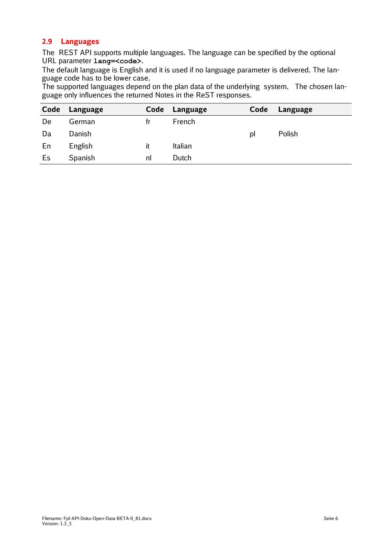# <span id="page-6-0"></span>**2.9 Languages**

The REST API supports multiple languages. The language can be specified by the optional URL parameter **lang=<code>**.

The default language is English and it is used if no language parameter is delivered. The language code has to be lower case.

The supported languages depend on the plan data of the underlying system. The chosen language only influences the returned Notes in the ReST responses.

| Code | Language | Code | Language | Code | Language |
|------|----------|------|----------|------|----------|
| De   | German   | tr   | French   |      |          |
| Da   | Danish   |      |          | рI   | Polish   |
| En   | English  | it   | Italian  |      |          |
| Es   | Spanish  | nl   | Dutch    |      |          |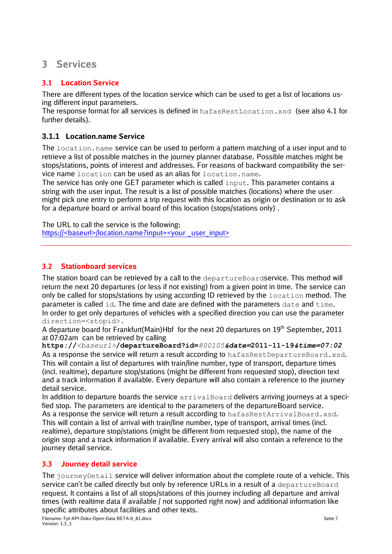# <span id="page-7-0"></span>**3 Services**

# <span id="page-7-1"></span>**3.1 Location Service**

There are different types of the location service which can be used to get a list of locations using different input parameters.

The response format for all services is defined in hafasRestLocation.xsd (see also [4.1](#page-8-2) for further details).

# <span id="page-7-2"></span>**3.1.1 Location.name Service**

The location.name service can be used to perform a pattern matching of a user input and to retrieve a list of possible matches in the journey planner database. Possible matches might be stops/stations, points of interest and addresses. For reasons of backward compatibility the service name location can be used as an alias for location.name.

The service has only one GET parameter which is called input. This parameter contains a string with the user input. The result is a list of possible matches (locations) where the user might pick one entry to perform a trip request with this location as origin or destination or to ask for a departure board or arrival board of this location (stops/stations only) .

The URL to call the service is the following: https://<br/>baseurl>/location.name?input=<your \_user\_input>

# <span id="page-7-3"></span>**3.2 Stationboard services**

The station board can be retrieved by a call to the departureBoardservice. This method will return the next 20 departures (or less if not existing) from a given point in time. The service can only be called for stops/stations by using according ID retrieved by the location method. The parameter is called id. The time and date are defined with the parameters date and time. In order to get only departures of vehicles with a specified direction you can use the parameter direction=<stopid>.

A departure board for Frankfurt(Main)Hbf for the next 20 departures on 19<sup>th</sup> September. 2011 at 07:02am can be retrieved by calling

**https***:***//***<baseurl>***/departureBoard?id=***800105&date=***2011-11-19***&time=07:02* As a response the service will return a result according to hafasRestDepartureBoard.xsd. This will contain a list of departures with train/line number, type of transport, departure times (incl. realtime), departure stop/stations (might be different from requested stop), direction text and a track information if available. Every departure will also contain a reference to the journey detail service.

In addition to departure boards the service arrivalBoard delivers arriving journeys at a specified stop. The parameters are identical to the parameters of the departureBoard service. As a response the service will return a result according to hafasRestArrivalBoard.xsd. This will contain a list of arrival with train/line number, type of transport, arrival times (incl. realtime), departure stop/stations (might be different from requested stop), the name of the origin stop and a track information if available. Every arrival will also contain a reference to the journey detail service.

# <span id="page-7-4"></span>**3.3 Journey detail service**

The journeyDetail service will deliver information about the complete route of a vehicle. This service can't be called directly but only by reference URLs in a result of a departureBoard request. It contains a list of all stops/stations of this journey including all departure and arrival times (with realtime data if available / not supported right now) and additional information like specific attributes about facilities and other texts.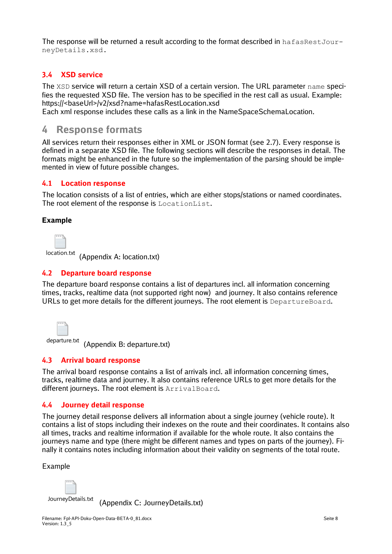The response will be returned a result according to the format described in hafasRestJourneyDetails.xsd.

## <span id="page-8-0"></span>**3.4 XSD service**

The XSD service will return a certain XSD of a certain version. The URL parameter name specifies the requested XSD file. The version has to be specified in the rest call as usual. Example: https://<br/>baseUrl>/v2/xsd?name=hafasRestLocation.xsd

<span id="page-8-1"></span>Each xml response includes these calls as a link in the NameSpaceSchemaLocation.

# **4 Response formats**

All services return their responses either in XML or JSON format (see [2.7\)](#page-5-3). Every response is defined in a separate XSD file. The following sections will describe the responses in detail. The formats might be enhanced in the future so the implementation of the parsing should be implemented in view of future possible changes.

## <span id="page-8-2"></span>**4.1 Location response**

The location consists of a list of entries, which are either stops/stations or named coordinates. The root element of the response is LocationList.

#### **Example**

location.txt (Appendix A: location.txt)

### <span id="page-8-3"></span>**4.2 Departure board response**

The departure board response contains a list of departures incl. all information concerning times, tracks, realtime data (not supported right now) and journey. It also contains reference URLs to get more details for the different journeys. The root element is DepartureBoard.



departure.txt (Appendix B: departure.txt)

### <span id="page-8-4"></span>**4.3 Arrival board response**

The arrival board response contains a list of arrivals incl. all information concerning times, tracks, realtime data and journey. It also contains reference URLs to get more details for the different journeys. The root element is ArrivalBoard.

### <span id="page-8-5"></span>**4.4 Journey detail response**

The journey detail response delivers all information about a single journey (vehicle route). It contains a list of stops including their indexes on the route and their coordinates. It contains also all times, tracks and realtime information if available for the whole route. It also contains the journeys name and type (there might be different names and types on parts of the journey). Finally it contains notes including information about their validity on segments of the total route.

### Example



(Appendix C: JourneyDetails.txt)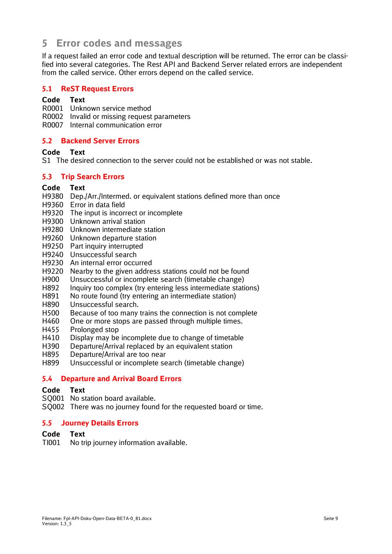# <span id="page-9-0"></span>**5 Error codes and messages**

If a request failed an error code and textual description will be returned. The error can be classified into several categories. The Rest API and Backend Server related errors are independent from the called service. Other errors depend on the called service.

### <span id="page-9-1"></span>**5.1 ReST Request Errors**

#### **Code Text**

- R0001 Unknown service method
- R0002 Invalid or missing request parameters

R0007 Internal communication error

### <span id="page-9-2"></span>**5.2 Backend Server Errors**

#### **Code Text**

S1 The desired connection to the server could not be established or was not stable.

### <span id="page-9-3"></span>**5.3 Trip Search Errors**

### **Code Text**

- H9380 Dep./Arr./Intermed. or equivalent stations defined more than once
- H9360 Error in data field
- H9320 The input is incorrect or incomplete
- H9300 Unknown arrival station
- H9280 Unknown intermediate station
- H9260 Unknown departure station
- H9250 Part inquiry interrupted
- H9240 Unsuccessful search
- H9230 An internal error occurred
- H9220 Nearby to the given address stations could not be found
- H900 Unsuccessful or incomplete search (timetable change)
- H892 Inquiry too complex (try entering less intermediate stations)
- H891 No route found (try entering an intermediate station)
- H890 Unsuccessful search.
- H500 Because of too many trains the connection is not complete
- H460 One or more stops are passed through multiple times.
- H455 Prolonged stop
- H410 Display may be incomplete due to change of timetable
- H390 Departure/Arrival replaced by an equivalent station
- H895 Departure/Arrival are too near
- <span id="page-9-4"></span>H899 Unsuccessful or incomplete search (timetable change)

### **5.4 Departure and Arrival Board Errors**

#### **Code Text**

SQ001 No station board available.

SO002 There was no journey found for the requested board or time.

### <span id="page-9-5"></span>**5.5 Journey Details Errors**

- **Code Text**
- TI001 No trip journey information available.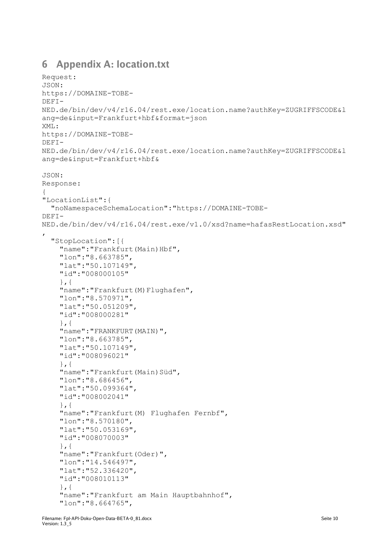# <span id="page-10-0"></span>**6 Appendix A: location.txt**

```
Request:
JSON:
https://DOMAINE-TOBE-
DEFI-
NED.de/bin/dev/v4/r16.04/rest.exe/location.name?authKey=ZUGRIFFSCODE&l
ang=de&input=Frankfurt+hbf&format=json
XML:
https://DOMAINE-TOBE-
DEFI-
NED.de/bin/dev/v4/r16.04/rest.exe/location.name?authKey=ZUGRIFFSCODE&l
ang=de&input=Frankfurt+hbf&
JSON:
Response:
{
"LocationList":{
   "noNamespaceSchemaLocation":"https://DOMAINE-TOBE-
DEFI-
NED.de/bin/dev/v4/r16.04/rest.exe/v1.0/xsd?name=hafasRestLocation.xsd"
,
   "StopLocation":[{
     "name":"Frankfurt(Main)Hbf",
     "lon":"8.663785",
     "lat":"50.107149",
     "id":"008000105"
     },{
     "name":"Frankfurt(M)Flughafen",
     "lon":"8.570971",
     "lat":"50.051209",
     "id":"008000281"
     },{
     "name":"FRANKFURT(MAIN)",
     "lon":"8.663785",
     "lat":"50.107149",
     "id":"008096021"
     },{
    "name": "Frankfurt (Main) Süd",
     "lon":"8.686456",
     "lat":"50.099364",
     "id":"008002041"
     },{
     "name":"Frankfurt(M) Flughafen Fernbf",
     "lon":"8.570180",
     "lat":"50.053169",
     "id":"008070003"
     },{
     "name":"Frankfurt(Oder)",
     "lon":"14.546497",
     "lat":"52.336420",
     "id":"008010113"
     },{
     "name":"Frankfurt am Main Hauptbahnhof",
     "lon":"8.664765",
```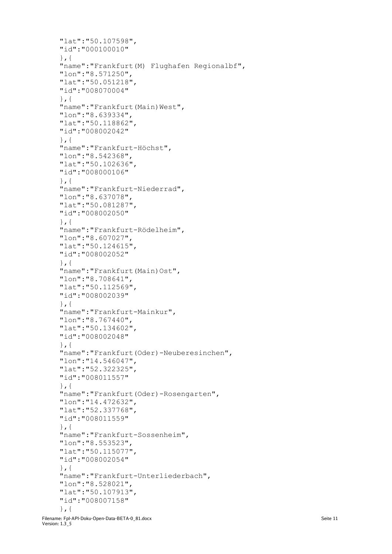```
Filename: Fpl-API-Doku-Open-Data-BETA-0_81.docx Seite 11
     "lat":"50.107598",
     "id":"000100010"
     },{
     "name":"Frankfurt(M) Flughafen Regionalbf",
     "lon":"8.571250",
     "lat":"50.051218",
     "id":"008070004"
     },{
    "name": "Frankfurt (Main) West",
     "lon":"8.639334",
     "lat":"50.118862",
     "id":"008002042"
     },{
     "name":"Frankfurt-Höchst",
     "lon":"8.542368",
     "lat":"50.102636",
     "id":"008000106"
     },{
     "name":"Frankfurt-Niederrad",
     "lon":"8.637078",
     "lat":"50.081287",
     "id":"008002050"
     },{
     "name":"Frankfurt-Rödelheim",
     "lon":"8.607027",
     "lat":"50.124615",
     "id":"008002052"
     },{
     "name":"Frankfurt(Main)Ost",
     "lon":"8.708641",
     "lat":"50.112569",
     "id":"008002039"
     },{
     "name":"Frankfurt-Mainkur",
     "lon":"8.767440",
     "lat":"50.134602",
     "id":"008002048"
     },{
     "name":"Frankfurt(Oder)-Neuberesinchen",
     "lon":"14.546047",
     "lat":"52.322325",
     "id":"008011557"
     },{
     "name":"Frankfurt(Oder)-Rosengarten",
     "lon":"14.472632",
     "lat":"52.337768",
     "id":"008011559"
     },{
     "name":"Frankfurt-Sossenheim",
     "lon":"8.553523",
     "lat":"50.115077",
     "id":"008002054"
     },{
     "name":"Frankfurt-Unterliederbach",
     "lon":"8.528021",
     "lat":"50.107913",
     "id":"008007158"
     },{
```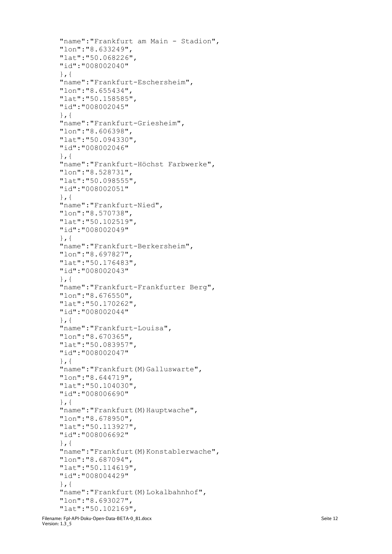```
Filename: Fpl
-API
-Doku
-Open
-Data
-BETA
-0_81.docx Seite 12
 "name":"Frankfurt am Main 
- Stadion",
     "lon":"8.633249",
     "lat":"50.068226",
     "id":"008002040"
    \}, {
 "name":"Frankfurt
-Eschersheim",
     "lon":"8.655434",
     "lat":"50.158585",
     "id":"008002045"
     },{
 "name":"Frankfurt
-Griesheim",
     "lon":"8.606398",
     "lat":"50.094330",
     "id":"008002046"
     },{
 "name":"Frankfurt
-Höchst Farbwerke",
     "lon":"8.528731",
     "lat":"50.098555",
     "id":"008002051"
     },{
 "name":"Frankfurt
-Nied",
     "lon":"8.570738",
     "lat":"50.102519",
     "id":"008002049"
     },{
 "name":"Frankfurt
-Berkersheim",
     "lon":"8.697827",
 "lat":"50.176483"
,
     "id":"008002043"
     },{
"name": "Frankfurt-Frankfurter Berg",
     "lon":"8.676550",
     "lat":"50.170262",
     "id":"008002044"
     },{
 "name":"Frankfurt
-Louisa",
     "lon":"8.670365",
     "lat":"50.083957",
     "id":"008002047"
     },{
    "name":"Frankfurt(M)Galluswarte",
     "lon":"8.644719",
     "lat":"50.104030",
     "id":"008006690"
     },{
    "name": "Frankfurt(M) Hauptwache",
     "lon":"8.678950",
     "lat":"50.113927",
     "id":"008006692"
     },{
     "name":"Frankfurt(M)Konstablerwache",
     "lon":"8.687094",
     "lat":"50.114619",
     "id":"008004429"
     },{
     "name":"Frankfurt(M)Lokalbahnhof",
     "lon":"8.693027",
     "lat":"50.102169",
```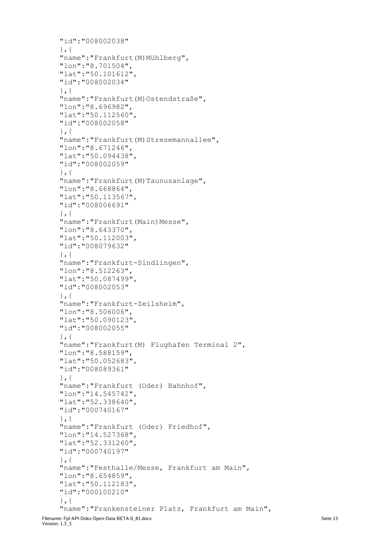```
Filename: Fpl-API-Doku-Open-Data-BETA-0_81.docx Seite 13
Version: 1.3_5
     "id":"008002038"
     },{
     "name":"Frankfurt(M)Mühlberg",
     "lon":"8.701504",
     "lat":"50.101612",
     "id":"008002034"
     },{
     "name":"Frankfurt(M)Ostendstraße",
     "lon":"8.696982",
     "lat":"50.112560",
     "id":"008002058"
     },{
    "name": "Frankfurt(M)Stresemannallee",
     "lon":"8.671246",
     "lat":"50.094438",
     "id":"008002059"
     },{
    "name": "Frankfurt(M)Taunusanlage",
     "lon":"8.668864",
     "lat":"50.113567",
     "id":"008006691"
     },{
    "name": "Frankfurt (Main) Messe",
     "lon":"8.643370",
     "lat":"50.112003",
     "id":"008079632"
     },{
     "name":"Frankfurt-Sindlingen",
     "lon":"8.512263",
     "lat":"50.087499",
     "id":"008002053"
     },{
     "name":"Frankfurt-Zeilsheim",
     "lon":"8.506006",
     "lat":"50.090123",
     "id":"008002055"
     },{
     "name":"Frankfurt(M) Flughafen Terminal 2",
     "lon":"8.588159",
     "lat":"50.052683",
     "id":"008089361"
     },{
     "name":"Frankfurt (Oder) Bahnhof",
     "lon":"14.545742",
     "lat":"52.338640",
     "id":"000740167"
     },{
     "name":"Frankfurt (Oder) Friedhof",
     "lon":"14.527368",
     "lat":"52.331260",
     "id":"000740197"
     },{
     "name":"Festhalle/Messe, Frankfurt am Main",
     "lon":"8.654859",
     "lat":"50.112183",
     "id":"000100210"
     },{
     "name":"Frankensteiner Platz, Frankfurt am Main",
```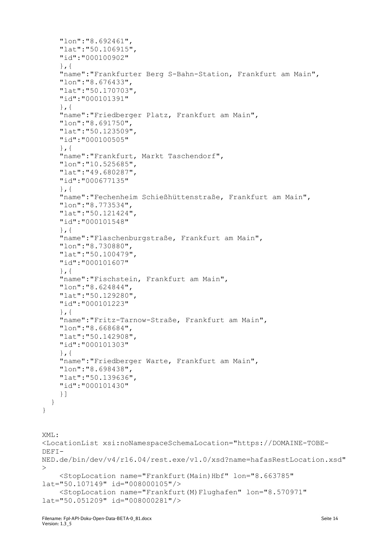```
 "lon":"8.692461",
     "lat":"50.106915",
     "id":"000100902"
     },{
     "name":"Frankfurter Berg S-Bahn-Station, Frankfurt am Main",
     "lon":"8.676433",
     "lat":"50.170703",
     "id":"000101391"
     },{
     "name":"Friedberger Platz, Frankfurt am Main",
     "lon":"8.691750",
     "lat":"50.123509",
     "id":"000100505"
     },{
     "name":"Frankfurt, Markt Taschendorf",
     "lon":"10.525685",
     "lat":"49.680287",
     "id":"000677135"
     },{
     "name":"Fechenheim Schießhüttenstraße, Frankfurt am Main",
     "lon":"8.773534",
     "lat":"50.121424",
     "id":"000101548"
     },{
     "name":"Flaschenburgstraße, Frankfurt am Main",
     "lon":"8.730880",
     "lat":"50.100479",
     "id":"000101607"
     },{
     "name":"Fischstein, Frankfurt am Main",
     "lon":"8.624844",
     "lat":"50.129280",
     "id":"000101223"
     },{
     "name":"Fritz-Tarnow-Straße, Frankfurt am Main",
     "lon":"8.668684",
     "lat":"50.142908",
     "id":"000101303"
     },{
     "name":"Friedberger Warte, Frankfurt am Main",
     "lon":"8.698438",
     "lat":"50.139636",
     "id":"000101430"
     }]
   }
}
XML:
<LocationList xsi:noNamespaceSchemaLocation="https://DOMAINE-TOBE-
DEFI-
NED.de/bin/dev/v4/r16.04/rest.exe/v1.0/xsd?name=hafasRestLocation.xsd"
\geq <StopLocation name="Frankfurt(Main)Hbf" lon="8.663785" 
lat="50.107149" id="008000105"/>
     <StopLocation name="Frankfurt(M)Flughafen" lon="8.570971" 
lat="50.051209" id="008000281"/>
```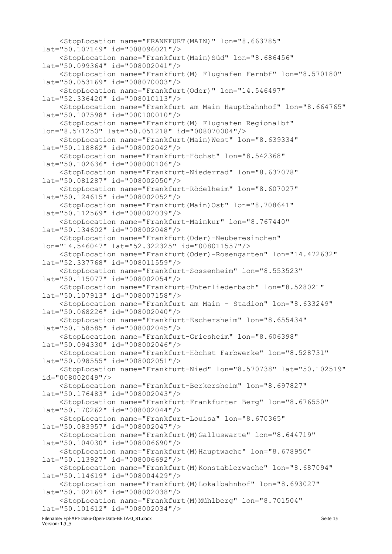```
Filename: Fpl-API-Doku-Open-Data-BETA-0_81.docx Seite 15
Version: 1.3_5
     <StopLocation name="FRANKFURT(MAIN)" lon="8.663785" 
lat="50.107149" id="008096021"/>
     <StopLocation name="Frankfurt(Main)Süd" lon="8.686456" 
lat="50.099364" id="008002041"/>
     <StopLocation name="Frankfurt(M) Flughafen Fernbf" lon="8.570180" 
lat="50.053169" id="008070003"/>
     <StopLocation name="Frankfurt(Oder)" lon="14.546497" 
lat="52.336420" id="008010113"/>
     <StopLocation name="Frankfurt am Main Hauptbahnhof" lon="8.664765" 
lat="50.107598" id="000100010"/>
     <StopLocation name="Frankfurt(M) Flughafen Regionalbf" 
lon="8.571250" lat="50.051218" id="008070004"/>
     <StopLocation name="Frankfurt(Main)West" lon="8.639334" 
lat="50.118862" id="008002042"/>
     <StopLocation name="Frankfurt-Höchst" lon="8.542368" 
lat="50.102636" id="008000106"/>
     <StopLocation name="Frankfurt-Niederrad" lon="8.637078" 
lat="50.081287" id="008002050"/>
     <StopLocation name="Frankfurt-Rödelheim" lon="8.607027" 
lat="50.124615" id="008002052"/>
     <StopLocation name="Frankfurt(Main)Ost" lon="8.708641" 
lat="50.112569" id="008002039"/>
     <StopLocation name="Frankfurt-Mainkur" lon="8.767440" 
lat="50.134602" id="008002048"/>
     <StopLocation name="Frankfurt(Oder)-Neuberesinchen" 
lon="14.546047" lat="52.322325" id="008011557"/>
     <StopLocation name="Frankfurt(Oder)-Rosengarten" lon="14.472632" 
lat="52.337768" id="008011559"/>
     <StopLocation name="Frankfurt-Sossenheim" lon="8.553523" 
lat="50.115077" id="008002054"/>
     <StopLocation name="Frankfurt-Unterliederbach" lon="8.528021" 
lat="50.107913" id="008007158"/>
     <StopLocation name="Frankfurt am Main - Stadion" lon="8.633249" 
lat="50.068226" id="008002040"/>
     <StopLocation name="Frankfurt-Eschersheim" lon="8.655434" 
lat="50.158585" id="008002045"/>
     <StopLocation name="Frankfurt-Griesheim" lon="8.606398" 
lat="50.094330" id="008002046"/>
     <StopLocation name="Frankfurt-Höchst Farbwerke" lon="8.528731" 
lat="50.098555" id="008002051"/>
    <StopLocation name="Frankfurt-Nied" lon="8.570738" lat="50.102519" 
id="008002049"/>
     <StopLocation name="Frankfurt-Berkersheim" lon="8.697827" 
lat="50.176483" id="008002043"/>
     <StopLocation name="Frankfurt-Frankfurter Berg" lon="8.676550" 
lat="50.170262" id="008002044"/>
     <StopLocation name="Frankfurt-Louisa" lon="8.670365" 
lat="50.083957" id="008002047"/>
     <StopLocation name="Frankfurt(M)Galluswarte" lon="8.644719" 
lat="50.104030" id="008006690"/>
     <StopLocation name="Frankfurt(M)Hauptwache" lon="8.678950" 
lat="50.113927" id="008006692"/>
     <StopLocation name="Frankfurt(M)Konstablerwache" lon="8.687094" 
lat="50.114619" id="008004429"/>
     <StopLocation name="Frankfurt(M)Lokalbahnhof" lon="8.693027" 
lat="50.102169" id="008002038"/>
     <StopLocation name="Frankfurt(M)Mühlberg" lon="8.701504" 
lat="50.101612" id="008002034"/>
```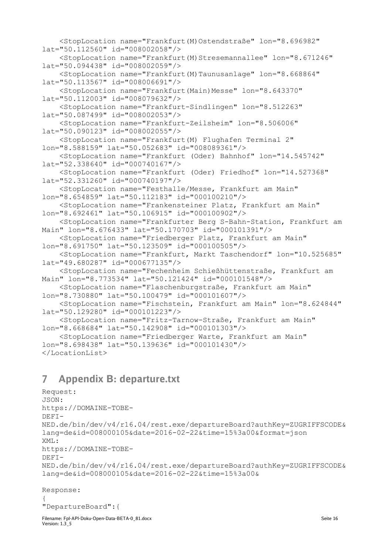```
 <StopLocation name="Frankfurt(M)Ostendstraße" lon="8.696982" 
lat="50.112560" id="008002058"/>
     <StopLocation name="Frankfurt(M)Stresemannallee" lon="8.671246" 
lat="50.094438" id="008002059"/>
     <StopLocation name="Frankfurt(M)Taunusanlage" lon="8.668864" 
lat="50.113567" id="008006691"/>
     <StopLocation name="Frankfurt(Main)Messe" lon="8.643370" 
lat="50.112003" id="008079632"/>
     <StopLocation name="Frankfurt-Sindlingen" lon="8.512263" 
lat="50.087499" id="008002053"/>
     <StopLocation name="Frankfurt-Zeilsheim" lon="8.506006" 
lat="50.090123" id="008002055"/>
     <StopLocation name="Frankfurt(M) Flughafen Terminal 2" 
lon="8.588159" lat="50.052683" id="008089361"/>
     <StopLocation name="Frankfurt (Oder) Bahnhof" lon="14.545742" 
lat="52.338640" id="000740167"/>
     <StopLocation name="Frankfurt (Oder) Friedhof" lon="14.527368" 
lat="52.331260" id="000740197"/>
     <StopLocation name="Festhalle/Messe, Frankfurt am Main" 
lon="8.654859" lat="50.112183" id="000100210"/>
     <StopLocation name="Frankensteiner Platz, Frankfurt am Main" 
lon="8.692461" lat="50.106915" id="000100902"/>
     <StopLocation name="Frankfurter Berg S-Bahn-Station, Frankfurt am 
Main" lon="8.676433" lat="50.170703" id="000101391"/>
     <StopLocation name="Friedberger Platz, Frankfurt am Main" 
lon="8.691750" lat="50.123509" id="000100505"/>
     <StopLocation name="Frankfurt, Markt Taschendorf" lon="10.525685" 
lat="49.680287" id="000677135"/>
     <StopLocation name="Fechenheim Schießhüttenstraße, Frankfurt am 
Main" lon="8.773534" lat="50.121424" id="000101548"/>
     <StopLocation name="Flaschenburgstraße, Frankfurt am Main" 
lon="8.730880" lat="50.100479" id="000101607"/>
     <StopLocation name="Fischstein, Frankfurt am Main" lon="8.624844" 
lat="50.129280" id="000101223"/>
     <StopLocation name="Fritz-Tarnow-Straße, Frankfurt am Main" 
lon="8.668684" lat="50.142908" id="000101303"/>
     <StopLocation name="Friedberger Warte, Frankfurt am Main" 
lon="8.698438" lat="50.139636" id="000101430"/>
</LocationList>
```
# <span id="page-16-0"></span>**7 Appendix B: departure.txt**

```
Request:
JSON:
https://DOMAINE-TOBE-
DEFI-
NED.de/bin/dev/v4/r16.04/rest.exe/departureBoard?authKey=ZUGRIFFSCODE&
lang=de&id=008000105&date=2016-02-22&time=15%3a00&format=json
XML:
https://DOMAINE-TOBE-
DEFI-
NED.de/bin/dev/v4/r16.04/rest.exe/departureBoard?authKey=ZUGRIFFSCODE&
lang=de&id=008000105&date=2016-02-22&time=15%3a00&
Response:
{
"DepartureBoard":{
```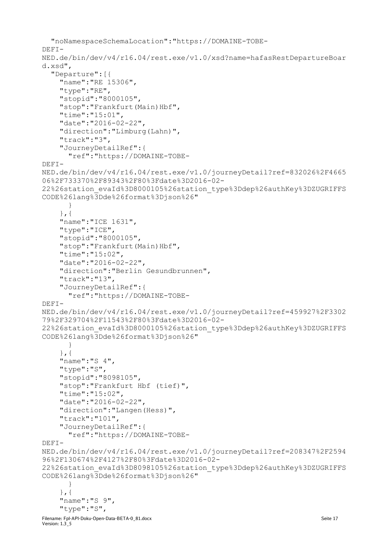```
Filename: Fpl-API-Doku-Open-Data-BETA-0_81.docx Seite 17
Version: 1.3_5
   "noNamespaceSchemaLocation":"https://DOMAINE-TOBE-
DEFI-
NED.de/bin/dev/v4/r16.04/rest.exe/v1.0/xsd?name=hafasRestDepartureBoar
d.xsd",
   "Departure":[{
     "name":"RE 15306",
     "type":"RE",
     "stopid":"8000105",
     "stop":"Frankfurt(Main)Hbf",
     "time":"15:01",
     "date":"2016-02-22",
     "direction":"Limburg(Lahn)",
     "track":"3",
     "JourneyDetailRef":{
       "ref":"https://DOMAINE-TOBE-
DEFI-
NED.de/bin/dev/v4/r16.04/rest.exe/v1.0/journeyDetail?ref=832026%2F4665
06%2F733370%2F89343%2F80%3Fdate%3D2016-02-
22%26station_evaId%3D8000105%26station_type%3Ddep%26authKey%3DZUGRIFFS
CODE%26lang%3Dde%26format%3Djson%26"
       }
     },{
     "name":"ICE 1631",
     "type":"ICE",
     "stopid":"8000105",
     "stop":"Frankfurt(Main)Hbf",
     "time":"15:02",
     "date":"2016-02-22",
     "direction":"Berlin Gesundbrunnen",
     "track":"13",
     "JourneyDetailRef":{
       "ref":"https://DOMAINE-TOBE-
DEFI-
NED.de/bin/dev/v4/r16.04/rest.exe/v1.0/journeyDetail?ref=459927%2F3302
79%2F329704%2F11543%2F80%3Fdate%3D2016-02-
22%26station_evaId%3D8000105%26station_type%3Ddep%26authKey%3DZUGRIFFS
CODE%26lang%3Dde%26format%3Djson%26"
       }
    \}, {
     "name":"S 4",
     "type":"S",
     "stopid":"8098105",
     "stop":"Frankfurt Hbf (tief)",
     "time":"15:02",
     "date":"2016-02-22",
     "direction":"Langen(Hess)",
     "track":"101",
     "JourneyDetailRef":{
       "ref":"https://DOMAINE-TOBE-
DEFI-
NED.de/bin/dev/v4/r16.04/rest.exe/v1.0/journeyDetail?ref=208347%2F2594
96%2F130674%2F4127%2F80%3Fdate%3D2016-02-
22%26station_evaId%3D8098105%26station_type%3Ddep%26authKey%3DZUGRIFFS
CODE%26lang%3Dde%26format%3Djson%26"
 }
     },{
     "name":"S 9",
     "type":"S",
```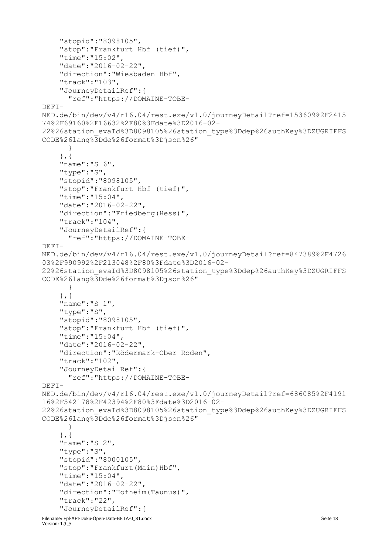```
Filename: Fpl-API-Doku-Open-Data-BETA-0_81.docx Seite 18
Version: 1.3_5
     "stopid":"8098105",
     "stop":"Frankfurt Hbf (tief)",
     "time":"15:02",
     "date":"2016-02-22",
     "direction":"Wiesbaden Hbf",
     "track":"103",
     "JourneyDetailRef":{
       "ref":"https://DOMAINE-TOBE-
DEFI-
NED.de/bin/dev/v4/r16.04/rest.exe/v1.0/journeyDetail?ref=153609%2F2415
74%2F69160%2F16632%2F80%3Fdate%3D2016-02-
22%26station_evaId%3D8098105%26station_type%3Ddep%26authKey%3DZUGRIFFS
CODE%26lang%3Dde%26format%3Djson%26"
       }
     },{
     "name":"S 6",
     "type":"S",
     "stopid":"8098105",
     "stop":"Frankfurt Hbf (tief)",
     "time":"15:04",
     "date":"2016-02-22",
     "direction":"Friedberg(Hess)",
     "track":"104",
     "JourneyDetailRef":{
       "ref":"https://DOMAINE-TOBE-
DEFI-
NED.de/bin/dev/v4/r16.04/rest.exe/v1.0/journeyDetail?ref=847389%2F4726
03%2F990992%2F213048%2F80%3Fdate%3D2016-02-
22%26station_evaId%3D8098105%26station_type%3Ddep%26authKey%3DZUGRIFFS
CODE%26lang%3Dde%26format%3Djson%26"
       }
    \}, {
     "name":"S 1",
     "type":"S",
     "stopid":"8098105",
     "stop":"Frankfurt Hbf (tief)",
     "time":"15:04",
     "date":"2016-02-22",
     "direction":"Rödermark-Ober Roden",
     "track":"102",
     "JourneyDetailRef":{
       "ref":"https://DOMAINE-TOBE-
DEFI-
NED.de/bin/dev/v4/r16.04/rest.exe/v1.0/journeyDetail?ref=686085%2F4191
16%2F542178%2F42394%2F80%3Fdate%3D2016-02-
22%26station_evaId%3D8098105%26station_type%3Ddep%26authKey%3DZUGRIFFS
CODE%26lang%3Dde%26format%3Djson%26"
       }
     },{
     "name":"S 2",
     "type":"S",
     "stopid":"8000105",
     "stop":"Frankfurt(Main)Hbf",
     "time":"15:04",
     "date":"2016-02-22",
     "direction":"Hofheim(Taunus)",
     "track":"22",
     "JourneyDetailRef":{
```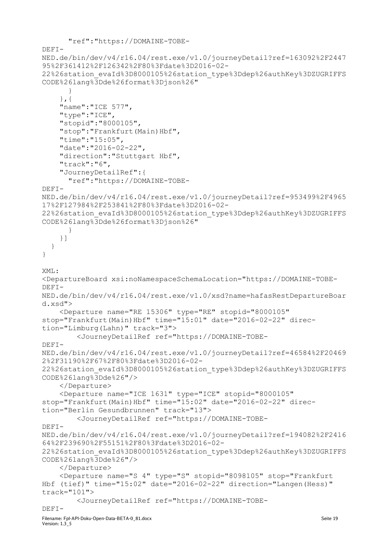```
Filename: Fpl-API-Doku-Open-Data-BETA-0_81.docx Seite 19
Version: 1.3_5
       "ref":"https://DOMAINE-TOBE-
DEFI-
NED.de/bin/dev/v4/r16.04/rest.exe/v1.0/journeyDetail?ref=163092%2F2447
95%2F361412%2F126342%2F80%3Fdate%3D2016-02-
22%26station_evaId%3D8000105%26station_type%3Ddep%26authKey%3DZUGRIFFS
CODE%26lang%3Dde%26format%3Djson%26"
      }
     },{
     "name":"ICE 577",
     "type":"ICE",
     "stopid":"8000105",
     "stop":"Frankfurt(Main)Hbf",
     "time":"15:05",
     "date":"2016-02-22",
     "direction":"Stuttgart Hbf",
     "track":"6",
     "JourneyDetailRef":{
       "ref":"https://DOMAINE-TOBE-
DEFI-
NED.de/bin/dev/v4/r16.04/rest.exe/v1.0/journeyDetail?ref=953499%2F4965
17%2F127984%2F253841%2F80%3Fdate%3D2016-02-
22%26station_evaId%3D8000105%26station_type%3Ddep%26authKey%3DZUGRIFFS
CODE%26lang%3Dde%26format%3Djson%26"
 }
     }]
   }
}
XML:
<DepartureBoard xsi:noNamespaceSchemaLocation="https://DOMAINE-TOBE-
DEFI-
NED.de/bin/dev/v4/r16.04/rest.exe/v1.0/xsd?name=hafasRestDepartureBoar
d.xsd">
     <Departure name="RE 15306" type="RE" stopid="8000105" 
stop="Frankfurt(Main)Hbf" time="15:01" date="2016-02-22" direc-
tion="Limburg(Lahn)" track="3">
         <JourneyDetailRef ref="https://DOMAINE-TOBE-
DEFI-
NED.de/bin/dev/v4/r16.04/rest.exe/v1.0/journeyDetail?ref=46584%2F20469
2%2F31190%2F67%2F80%3Fdate%3D2016-02-
22%26station_evaId%3D8000105%26station_type%3Ddep%26authKey%3DZUGRIFFS
CODE%26lang%3Dde%26"/>
     </Departure>
     <Departure name="ICE 1631" type="ICE" stopid="8000105" 
stop="Frankfurt(Main)Hbf" time="15:02" date="2016-02-22" direc-
tion="Berlin Gesundbrunnen" track="13">
         <JourneyDetailRef ref="https://DOMAINE-TOBE-
DEFI-
NED.de/bin/dev/v4/r16.04/rest.exe/v1.0/journeyDetail?ref=194082%2F2416
64%2F239690%2F55151%2F80%3Fdate%3D2016-02-
22%26station_evaId%3D8000105%26station_type%3Ddep%26authKey%3DZUGRIFFS
CODE%26lang%3Dde%26"/>
     </Departure>
     <Departure name="S 4" type="S" stopid="8098105" stop="Frankfurt 
Hbf (tief)" time="15:02" date="2016-02-22" direction="Langen(Hess)" 
track="101">
         <JourneyDetailRef ref="https://DOMAINE-TOBE-
DEFI-
```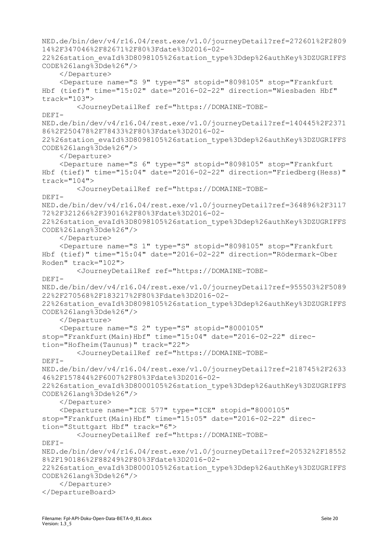NED.de/bin/dev/v4/r16.04/rest.exe/v1.0/journeyDetail?ref=272601%2F2809 14%2F347046%2F82671%2F80%3Fdate%3D2016-02- 22%26station\_evaId%3D8098105%26station\_type%3Ddep%26authKey%3DZUGRIFFS CODE%26lang%3Dde%26"/> </Departure> <Departure name="S 9" type="S" stopid="8098105" stop="Frankfurt Hbf (tief)" time="15:02" date="2016-02-22" direction="Wiesbaden Hbf" track="103"> <JourneyDetailRef ref="https://DOMAINE-TOBE-DEFI-NED.de/bin/dev/v4/r16.04/rest.exe/v1.0/journeyDetail?ref=140445%2F2371 86%2F250478%2F78433%2F80%3Fdate%3D2016-02- 22%26station\_evaId%3D8098105%26station\_type%3Ddep%26authKey%3DZUGRIFFS CODE%26lang%3Dde%26"/> </Departure> <Departure name="S 6" type="S" stopid="8098105" stop="Frankfurt Hbf (tief)" time="15:04" date="2016-02-22" direction="Friedberg(Hess)" track="104"> <JourneyDetailRef ref="https://DOMAINE-TOBE-DEFI-NED.de/bin/dev/v4/r16.04/rest.exe/v1.0/journeyDetail?ref=364896%2F3117 72%2F321266%2F39016%2F80%3Fdate%3D2016-02- 22%26station\_evaId%3D8098105%26station\_type%3Ddep%26authKey%3DZUGRIFFS CODE%26lang%3Dde%26"/> </Departure> <Departure name="S 1" type="S" stopid="8098105" stop="Frankfurt Hbf (tief)" time="15:04" date="2016-02-22" direction="Rödermark-Ober Roden" track="102"> <JourneyDetailRef ref="https://DOMAINE-TOBE-DEFI-NED.de/bin/dev/v4/r16.04/rest.exe/v1.0/journeyDetail?ref=955503%2F5089 22%2F270568%2F183217%2F80%3Fdate%3D2016-02- 22%26station\_evaId%3D8098105%26station\_type%3Ddep%26authKey%3DZUGRIFFS CODE%26lang%3Dde%26"/> </Departure> <Departure name="S 2" type="S" stopid="8000105" stop="Frankfurt(Main)Hbf" time="15:04" date="2016-02-22" direction="Hofheim(Taunus)" track="22"> <JourneyDetailRef ref="https://DOMAINE-TOBE-DEFI-NED.de/bin/dev/v4/r16.04/rest.exe/v1.0/journeyDetail?ref=218745%2F2633 46%2F157844%2F6007%2F80%3Fdate%3D2016-02- 22%26station\_evaId%3D8000105%26station\_type%3Ddep%26authKey%3DZUGRIFFS CODE%26lang%3Dde%26"/> </Departure> <Departure name="ICE 577" type="ICE" stopid="8000105" stop="Frankfurt(Main)Hbf" time="15:05" date="2016-02-22" direction="Stuttgart Hbf" track="6"> <JourneyDetailRef ref="https://DOMAINE-TOBE-DEFI-NED.de/bin/dev/v4/r16.04/rest.exe/v1.0/journeyDetail?ref=20532%2F18552 8%2F190186%2F88249%2F80%3Fdate%3D2016-02- 22%26station\_evaId%3D8000105%26station\_type%3Ddep%26authKey%3DZUGRIFFS CODE%26lang%3Dde%26"/> </Departure> </DepartureBoard>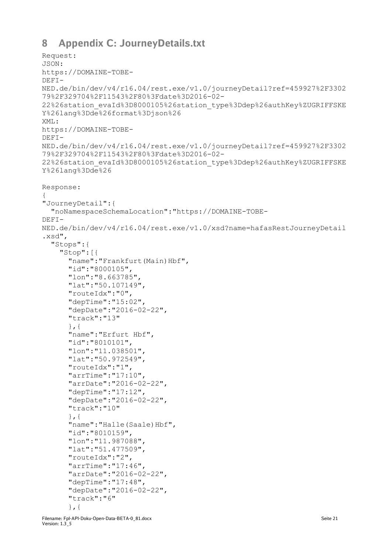# <span id="page-21-0"></span>**8 Appendix C: JourneyDetails.txt**

```
Request:
JSON:
https://DOMAINE-TOBE-
DEFI-
NED.de/bin/dev/v4/r16.04/rest.exe/v1.0/journeyDetail?ref=459927%2F3302
79%2F329704%2F11543%2F80%3Fdate%3D2016-02-
22%26station_evaId%3D8000105%26station_type%3Ddep%26authKey%ZUGRIFFSKE
Y%26lang%3Dde%26format%3Djson%26
XML:
https://DOMAINE-TOBE-
DEFI-
NED.de/bin/dev/v4/r16.04/rest.exe/v1.0/journeyDetail?ref=459927%2F3302
79%2F329704%2F11543%2F80%3Fdate%3D2016-02-
22%26station_evaId%3D8000105%26station_type%3Ddep%26authKey%ZUGRIFFSKE
Y%26lang%3Dde%26
Response:
{
"JourneyDetail":{
   "noNamespaceSchemaLocation":"https://DOMAINE-TOBE-
DEFI-
NED.de/bin/dev/v4/r16.04/rest.exe/v1.0/xsd?name=hafasRestJourneyDetail
.xsd",
   "Stops":{
     "Stop":[{
      "name": "Frankfurt (Main) Hbf",
       "id":"8000105",
       "lon":"8.663785",
       "lat":"50.107149",
       "routeIdx":"0",
       "depTime":"15:02",
       "depDate":"2016-02-22",
       "track":"13"
       },{
       "name":"Erfurt Hbf",
       "id":"8010101",
       "lon":"11.038501",
       "lat":"50.972549",
       "routeIdx":"1",
       "arrTime":"17:10",
       "arrDate":"2016-02-22",
       "depTime":"17:12",
       "depDate":"2016-02-22",
       "track":"10"
       },{
       "name":"Halle(Saale)Hbf",
       "id":"8010159",
       "lon":"11.987088",
       "lat":"51.477509",
       "routeIdx":"2",
       "arrTime":"17:46",
       "arrDate":"2016-02-22",
       "depTime":"17:48",
       "depDate":"2016-02-22",
       "track":"6"
       },{
```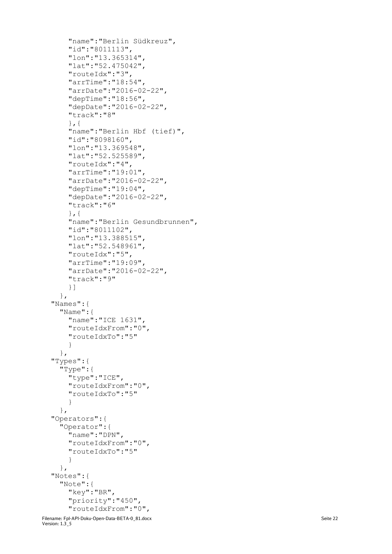```
Filename: Fpl
-API
-Doku
-Open
-Data
-BETA
-0_81.docx Seite 22
Version: 1.3_5
       "name":"Berlin Südkreuz",
       "id":"8011113",
       "lon":"13.365314",
       "lat":"52.475042",
       "routeIdx":"3",
       "arrTime":"18:54",
 "arrDate":"2016
-02
-22",
       "depTime":"18:56",
 "depDate":"2016
-02
-22",
       "track":"8"
       },{
       "name":"Berlin Hbf (tief)",
       "id":"8098160",
       "lon":"13.369548",
       "lat":"52.525589",
       "routeIdx":"4",
       "arrTime":"19:01",
 "arrDate":"2016
-02
-22",
       "depTime":"19:04",
 "depDate":"2016
-02
-22",
       "track":"6"
       },{
       "name":"Berlin Gesundbrunnen",
       "id":"8011102",
       "lon":"13.388515",
       "lat":"52.548961",
       "routeIdx":"5",
       "arrTime":"19:09",
 "arrDate":"2016
-02
-22",
       "track":"9"
       }]
     },
   "Names":{
     "Name":{
       "name":"ICE 1631",
      "routeIdxFrom":"0",
       "routeIdxTo":"5"
      }
     },
   "Types":{
     "Type":{
       "type":"ICE",
       "routeIdxFrom":"0",
       "routeIdxTo":"5"
      }
     },
   "Operators":{
     "Operator":{
       "name":"DPN",
       "routeIdxFrom":"0",
       "routeIdxTo":"5"
      }
     },
   "Notes":{
     "Note":{
       "key":"BR",
       "priority":"450",
       "routeIdxFrom":"0",
```